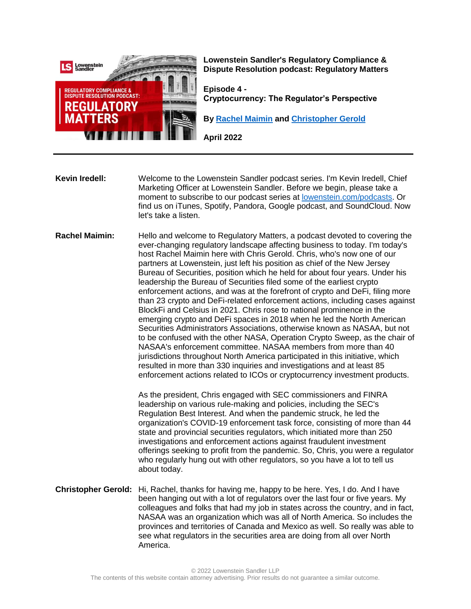

**Lowenstein Sandler's Regulatory Compliance & Dispute Resolution podcast: Regulatory Matters**

**Episode 4 - Cryptocurrency: The Regulator's Perspective**

**By [Rachel Maimin](https://www.lowenstein.com/people/attorneys/rachel-maimin) and [Christopher Gerold](https://www.lowenstein.com/people/attorneys/christopher-gerold)**

**April 2022**

**Kevin Iredell:** Welcome to the Lowenstein Sandler podcast series. I'm Kevin Iredell, Chief Marketing Officer at Lowenstein Sandler. Before we begin, please take a moment to subscribe to our podcast series at [lowenstein.com/podcasts.](https://www.lowenstein.com/podcasts) Or find us on iTunes, Spotify, Pandora, Google podcast, and SoundCloud. Now let's take a listen.

**Rachel Maimin:** Hello and welcome to Regulatory Matters, a podcast devoted to covering the ever-changing regulatory landscape affecting business to today. I'm today's host Rachel Maimin here with Chris Gerold. Chris, who's now one of our partners at Lowenstein, just left his position as chief of the New Jersey Bureau of Securities, position which he held for about four years. Under his leadership the Bureau of Securities filed some of the earliest crypto enforcement actions, and was at the forefront of crypto and DeFi, filing more than 23 crypto and DeFi-related enforcement actions, including cases against BlockFi and Celsius in 2021. Chris rose to national prominence in the emerging crypto and DeFi spaces in 2018 when he led the North American Securities Administrators Associations, otherwise known as NASAA, but not to be confused with the other NASA, Operation Crypto Sweep, as the chair of NASAA's enforcement committee. NASAA members from more than 40 jurisdictions throughout North America participated in this initiative, which resulted in more than 330 inquiries and investigations and at least 85 enforcement actions related to ICOs or cryptocurrency investment products.

> As the president, Chris engaged with SEC commissioners and FINRA leadership on various rule-making and policies, including the SEC's Regulation Best Interest. And when the pandemic struck, he led the organization's COVID-19 enforcement task force, consisting of more than 44 state and provincial securities regulators, which initiated more than 250 investigations and enforcement actions against fraudulent investment offerings seeking to profit from the pandemic. So, Chris, you were a regulator who regularly hung out with other regulators, so you have a lot to tell us about today.

**Christopher Gerold:** Hi, Rachel, thanks for having me, happy to be here. Yes, I do. And I have been hanging out with a lot of regulators over the last four or five years. My colleagues and folks that had my job in states across the country, and in fact, NASAA was an organization which was all of North America. So includes the provinces and territories of Canada and Mexico as well. So really was able to see what regulators in the securities area are doing from all over North America.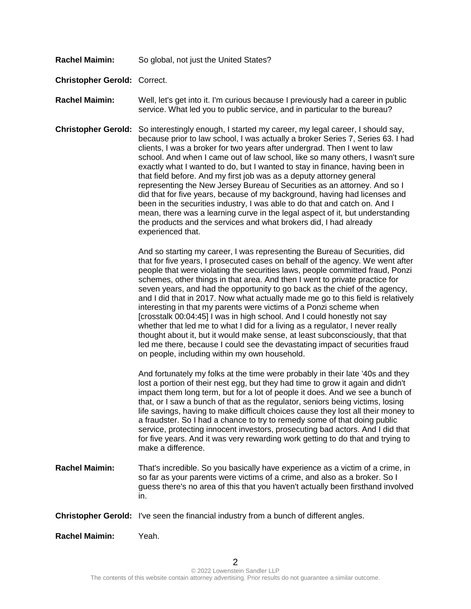- **Rachel Maimin:** So global, not just the United States?
- **Christopher Gerold:** Correct.
- **Rachel Maimin:** Well, let's get into it. I'm curious because I previously had a career in public service. What led you to public service, and in particular to the bureau?
- **Christopher Gerold:** So interestingly enough, I started my career, my legal career, I should say, because prior to law school, I was actually a broker Series 7, Series 63. I had clients, I was a broker for two years after undergrad. Then I went to law school. And when I came out of law school, like so many others, I wasn't sure exactly what I wanted to do, but I wanted to stay in finance, having been in that field before. And my first job was as a deputy attorney general representing the New Jersey Bureau of Securities as an attorney. And so I did that for five years, because of my background, having had licenses and been in the securities industry, I was able to do that and catch on. And I mean, there was a learning curve in the legal aspect of it, but understanding the products and the services and what brokers did, I had already experienced that.

And so starting my career, I was representing the Bureau of Securities, did that for five years, I prosecuted cases on behalf of the agency. We went after people that were violating the securities laws, people committed fraud, Ponzi schemes, other things in that area. And then I went to private practice for seven years, and had the opportunity to go back as the chief of the agency, and I did that in 2017. Now what actually made me go to this field is relatively interesting in that my parents were victims of a Ponzi scheme when [crosstalk 00:04:45] I was in high school. And I could honestly not say whether that led me to what I did for a living as a regulator, I never really thought about it, but it would make sense, at least subconsciously, that that led me there, because I could see the devastating impact of securities fraud on people, including within my own household.

And fortunately my folks at the time were probably in their late '40s and they lost a portion of their nest egg, but they had time to grow it again and didn't impact them long term, but for a lot of people it does. And we see a bunch of that, or I saw a bunch of that as the regulator, seniors being victims, losing life savings, having to make difficult choices cause they lost all their money to a fraudster. So I had a chance to try to remedy some of that doing public service, protecting innocent investors, prosecuting bad actors. And I did that for five years. And it was very rewarding work getting to do that and trying to make a difference.

**Rachel Maimin:** That's incredible. So you basically have experience as a victim of a crime, in so far as your parents were victims of a crime, and also as a broker. So I guess there's no area of this that you haven't actually been firsthand involved in.

**Christopher Gerold:** I've seen the financial industry from a bunch of different angles.

**Rachel Maimin:** Yeah.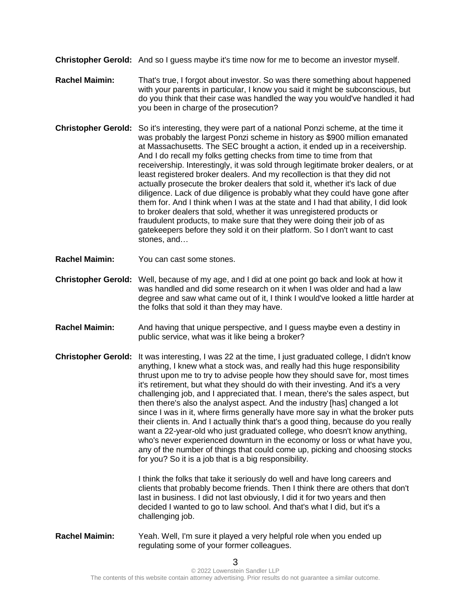**Christopher Gerold:** And so I guess maybe it's time now for me to become an investor myself.

- **Rachel Maimin:** That's true, I forgot about investor. So was there something about happened with your parents in particular, I know you said it might be subconscious, but do you think that their case was handled the way you would've handled it had you been in charge of the prosecution?
- **Christopher Gerold:** So it's interesting, they were part of a national Ponzi scheme, at the time it was probably the largest Ponzi scheme in history as \$900 million emanated at Massachusetts. The SEC brought a action, it ended up in a receivership. And I do recall my folks getting checks from time to time from that receivership. Interestingly, it was sold through legitimate broker dealers, or at least registered broker dealers. And my recollection is that they did not actually prosecute the broker dealers that sold it, whether it's lack of due diligence. Lack of due diligence is probably what they could have gone after them for. And I think when I was at the state and I had that ability, I did look to broker dealers that sold, whether it was unregistered products or fraudulent products, to make sure that they were doing their job of as gatekeepers before they sold it on their platform. So I don't want to cast stones, and…
- **Rachel Maimin:** You can cast some stones.
- **Christopher Gerold:** Well, because of my age, and I did at one point go back and look at how it was handled and did some research on it when I was older and had a law degree and saw what came out of it, I think I would've looked a little harder at the folks that sold it than they may have.
- **Rachel Maimin:** And having that unique perspective, and I guess maybe even a destiny in public service, what was it like being a broker?
- **Christopher Gerold:** It was interesting, I was 22 at the time, I just graduated college, I didn't know anything, I knew what a stock was, and really had this huge responsibility thrust upon me to try to advise people how they should save for, most times it's retirement, but what they should do with their investing. And it's a very challenging job, and I appreciated that. I mean, there's the sales aspect, but then there's also the analyst aspect. And the industry [has] changed a lot since I was in it, where firms generally have more say in what the broker puts their clients in. And I actually think that's a good thing, because do you really want a 22-year-old who just graduated college, who doesn't know anything, who's never experienced downturn in the economy or loss or what have you, any of the number of things that could come up, picking and choosing stocks for you? So it is a job that is a big responsibility.

I think the folks that take it seriously do well and have long careers and clients that probably become friends. Then I think there are others that don't last in business. I did not last obviously, I did it for two years and then decided I wanted to go to law school. And that's what I did, but it's a challenging job.

**Rachel Maimin:** Yeah. Well, I'm sure it played a very helpful role when you ended up regulating some of your former colleagues.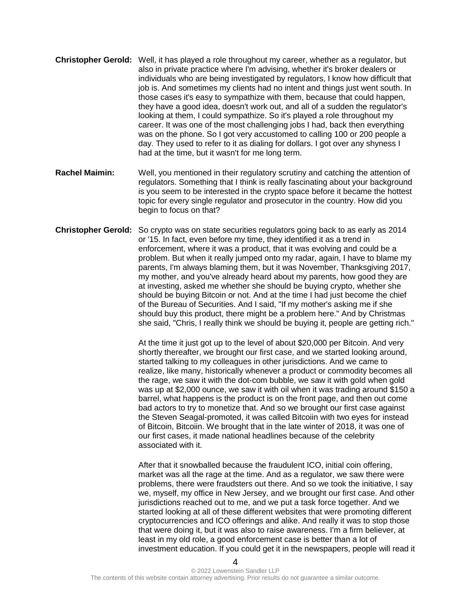- **Christopher Gerold:** Well, it has played a role throughout my career, whether as a regulator, but also in private practice where I'm advising, whether it's broker dealers or individuals who are being investigated by regulators, I know how difficult that job is. And sometimes my clients had no intent and things just went south. In those cases it's easy to sympathize with them, because that could happen, they have a good idea, doesn't work out, and all of a sudden the regulator's looking at them, I could sympathize. So it's played a role throughout my career. It was one of the most challenging jobs I had, back then everything was on the phone. So I got very accustomed to calling 100 or 200 people a day. They used to refer to it as dialing for dollars. I got over any shyness I had at the time, but it wasn't for me long term.
- **Rachel Maimin:** Well, you mentioned in their regulatory scrutiny and catching the attention of regulators. Something that I think is really fascinating about your background is you seem to be interested in the crypto space before it became the hottest topic for every single regulator and prosecutor in the country. How did you begin to focus on that?
- **Christopher Gerold:** So crypto was on state securities regulators going back to as early as 2014 or '15. In fact, even before my time, they identified it as a trend in enforcement, where it was a product, that it was evolving and could be a problem. But when it really jumped onto my radar, again, I have to blame my parents, I'm always blaming them, but it was November, Thanksgiving 2017, my mother, and you've already heard about my parents, how good they are at investing, asked me whether she should be buying crypto, whether she should be buying Bitcoin or not. And at the time I had just become the chief of the Bureau of Securities. And I said, "If my mother's asking me if she should buy this product, there might be a problem here." And by Christmas she said, "Chris, I really think we should be buying it, people are getting rich."

At the time it just got up to the level of about \$20,000 per Bitcoin. And very shortly thereafter, we brought our first case, and we started looking around, started talking to my colleagues in other jurisdictions. And we came to realize, like many, historically whenever a product or commodity becomes all the rage, we saw it with the dot-com bubble, we saw it with gold when gold was up at \$2,000 ounce, we saw it with oil when it was trading around \$150 a barrel, what happens is the product is on the front page, and then out come bad actors to try to monetize that. And so we brought our first case against the Steven Seagal-promoted, it was called Bitcoiin with two eyes for instead of Bitcoin, Bitcoiin. We brought that in the late winter of 2018, it was one of our first cases, it made national headlines because of the celebrity associated with it.

After that it snowballed because the fraudulent ICO, initial coin offering, market was all the rage at the time. And as a regulator, we saw there were problems, there were fraudsters out there. And so we took the initiative, I say we, myself, my office in New Jersey, and we brought our first case. And other jurisdictions reached out to me, and we put a task force together. And we started looking at all of these different websites that were promoting different cryptocurrencies and ICO offerings and alike. And really it was to stop those that were doing it, but it was also to raise awareness. I'm a firm believer, at least in my old role, a good enforcement case is better than a lot of investment education. If you could get it in the newspapers, people will read it

 $\boldsymbol{\Lambda}$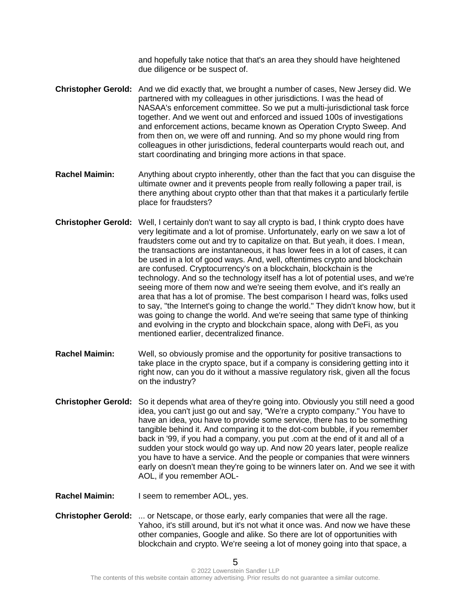and hopefully take notice that that's an area they should have heightened due diligence or be suspect of.

- **Christopher Gerold:** And we did exactly that, we brought a number of cases, New Jersey did. We partnered with my colleagues in other jurisdictions. I was the head of NASAA's enforcement committee. So we put a multi-jurisdictional task force together. And we went out and enforced and issued 100s of investigations and enforcement actions, became known as Operation Crypto Sweep. And from then on, we were off and running. And so my phone would ring from colleagues in other jurisdictions, federal counterparts would reach out, and start coordinating and bringing more actions in that space.
- **Rachel Maimin:** Anything about crypto inherently, other than the fact that you can disguise the ultimate owner and it prevents people from really following a paper trail, is there anything about crypto other than that that makes it a particularly fertile place for fraudsters?
- **Christopher Gerold:** Well, I certainly don't want to say all crypto is bad, I think crypto does have very legitimate and a lot of promise. Unfortunately, early on we saw a lot of fraudsters come out and try to capitalize on that. But yeah, it does. I mean, the transactions are instantaneous, it has lower fees in a lot of cases, it can be used in a lot of good ways. And, well, oftentimes crypto and blockchain are confused. Cryptocurrency's on a blockchain, blockchain is the technology. And so the technology itself has a lot of potential uses, and we're seeing more of them now and we're seeing them evolve, and it's really an area that has a lot of promise. The best comparison I heard was, folks used to say, "the Internet's going to change the world." They didn't know how, but it was going to change the world. And we're seeing that same type of thinking and evolving in the crypto and blockchain space, along with DeFi, as you mentioned earlier, decentralized finance.
- **Rachel Maimin:** Well, so obviously promise and the opportunity for positive transactions to take place in the crypto space, but if a company is considering getting into it right now, can you do it without a massive regulatory risk, given all the focus on the industry?
- **Christopher Gerold:** So it depends what area of they're going into. Obviously you still need a good idea, you can't just go out and say, "We're a crypto company." You have to have an idea, you have to provide some service, there has to be something tangible behind it. And comparing it to the dot-com bubble, if you remember back in '99, if you had a company, you put .com at the end of it and all of a sudden your stock would go way up. And now 20 years later, people realize you have to have a service. And the people or companies that were winners early on doesn't mean they're going to be winners later on. And we see it with AOL, if you remember AOL-
- **Rachel Maimin:** I seem to remember AOL, yes.
- **Christopher Gerold:** ... or Netscape, or those early, early companies that were all the rage. Yahoo, it's still around, but it's not what it once was. And now we have these other companies, Google and alike. So there are lot of opportunities with blockchain and crypto. We're seeing a lot of money going into that space, a

5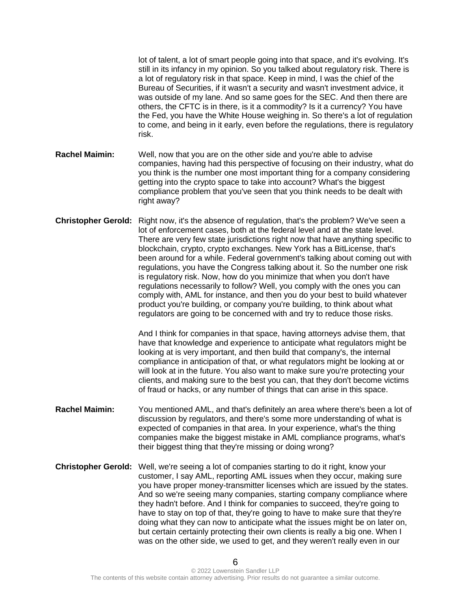lot of talent, a lot of smart people going into that space, and it's evolving. It's still in its infancy in my opinion. So you talked about regulatory risk. There is a lot of regulatory risk in that space. Keep in mind, I was the chief of the Bureau of Securities, if it wasn't a security and wasn't investment advice, it was outside of my lane. And so same goes for the SEC. And then there are others, the CFTC is in there, is it a commodity? Is it a currency? You have the Fed, you have the White House weighing in. So there's a lot of regulation to come, and being in it early, even before the regulations, there is regulatory risk.

- **Rachel Maimin:** Well, now that you are on the other side and you're able to advise companies, having had this perspective of focusing on their industry, what do you think is the number one most important thing for a company considering getting into the crypto space to take into account? What's the biggest compliance problem that you've seen that you think needs to be dealt with right away?
- **Christopher Gerold:** Right now, it's the absence of regulation, that's the problem? We've seen a lot of enforcement cases, both at the federal level and at the state level. There are very few state jurisdictions right now that have anything specific to blockchain, crypto, crypto exchanges. New York has a BitLicense, that's been around for a while. Federal government's talking about coming out with regulations, you have the Congress talking about it. So the number one risk is regulatory risk. Now, how do you minimize that when you don't have regulations necessarily to follow? Well, you comply with the ones you can comply with, AML for instance, and then you do your best to build whatever product you're building, or company you're building, to think about what regulators are going to be concerned with and try to reduce those risks.

And I think for companies in that space, having attorneys advise them, that have that knowledge and experience to anticipate what regulators might be looking at is very important, and then build that company's, the internal compliance in anticipation of that, or what regulators might be looking at or will look at in the future. You also want to make sure you're protecting your clients, and making sure to the best you can, that they don't become victims of fraud or hacks, or any number of things that can arise in this space.

- **Rachel Maimin:** You mentioned AML, and that's definitely an area where there's been a lot of discussion by regulators, and there's some more understanding of what is expected of companies in that area. In your experience, what's the thing companies make the biggest mistake in AML compliance programs, what's their biggest thing that they're missing or doing wrong?
- **Christopher Gerold:** Well, we're seeing a lot of companies starting to do it right, know your customer, I say AML, reporting AML issues when they occur, making sure you have proper money-transmitter licenses which are issued by the states. And so we're seeing many companies, starting company compliance where they hadn't before. And I think for companies to succeed, they're going to have to stay on top of that, they're going to have to make sure that they're doing what they can now to anticipate what the issues might be on later on, but certain certainly protecting their own clients is really a big one. When I was on the other side, we used to get, and they weren't really even in our

6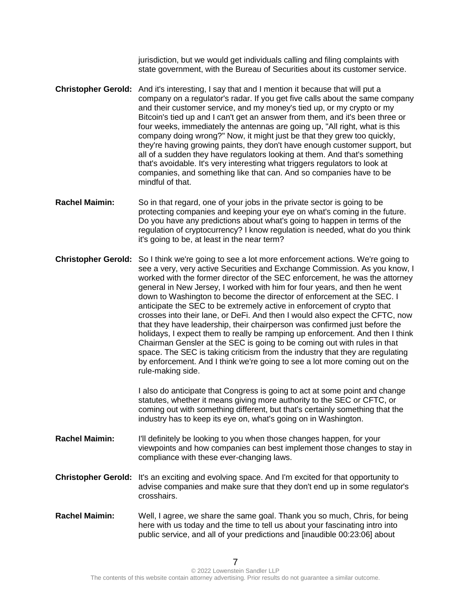jurisdiction, but we would get individuals calling and filing complaints with state government, with the Bureau of Securities about its customer service.

- **Christopher Gerold:** And it's interesting, I say that and I mention it because that will put a company on a regulator's radar. If you get five calls about the same company and their customer service, and my money's tied up, or my crypto or my Bitcoin's tied up and I can't get an answer from them, and it's been three or four weeks, immediately the antennas are going up, "All right, what is this company doing wrong?" Now, it might just be that they grew too quickly, they're having growing paints, they don't have enough customer support, but all of a sudden they have regulators looking at them. And that's something that's avoidable. It's very interesting what triggers regulators to look at companies, and something like that can. And so companies have to be mindful of that.
- **Rachel Maimin:** So in that regard, one of your jobs in the private sector is going to be protecting companies and keeping your eye on what's coming in the future. Do you have any predictions about what's going to happen in terms of the regulation of cryptocurrency? I know regulation is needed, what do you think it's going to be, at least in the near term?
- **Christopher Gerold:** So I think we're going to see a lot more enforcement actions. We're going to see a very, very active Securities and Exchange Commission. As you know, I worked with the former director of the SEC enforcement, he was the attorney general in New Jersey, I worked with him for four years, and then he went down to Washington to become the director of enforcement at the SEC. I anticipate the SEC to be extremely active in enforcement of crypto that crosses into their lane, or DeFi. And then I would also expect the CFTC, now that they have leadership, their chairperson was confirmed just before the holidays, I expect them to really be ramping up enforcement. And then I think Chairman Gensler at the SEC is going to be coming out with rules in that space. The SEC is taking criticism from the industry that they are regulating by enforcement. And I think we're going to see a lot more coming out on the rule-making side.

I also do anticipate that Congress is going to act at some point and change statutes, whether it means giving more authority to the SEC or CFTC, or coming out with something different, but that's certainly something that the industry has to keep its eye on, what's going on in Washington.

- **Rachel Maimin:** I'll definitely be looking to you when those changes happen, for your viewpoints and how companies can best implement those changes to stay in compliance with these ever-changing laws.
- **Christopher Gerold:** It's an exciting and evolving space. And I'm excited for that opportunity to advise companies and make sure that they don't end up in some regulator's crosshairs.
- **Rachel Maimin:** Well, I agree, we share the same goal. Thank you so much, Chris, for being here with us today and the time to tell us about your fascinating intro into public service, and all of your predictions and [inaudible 00:23:06] about